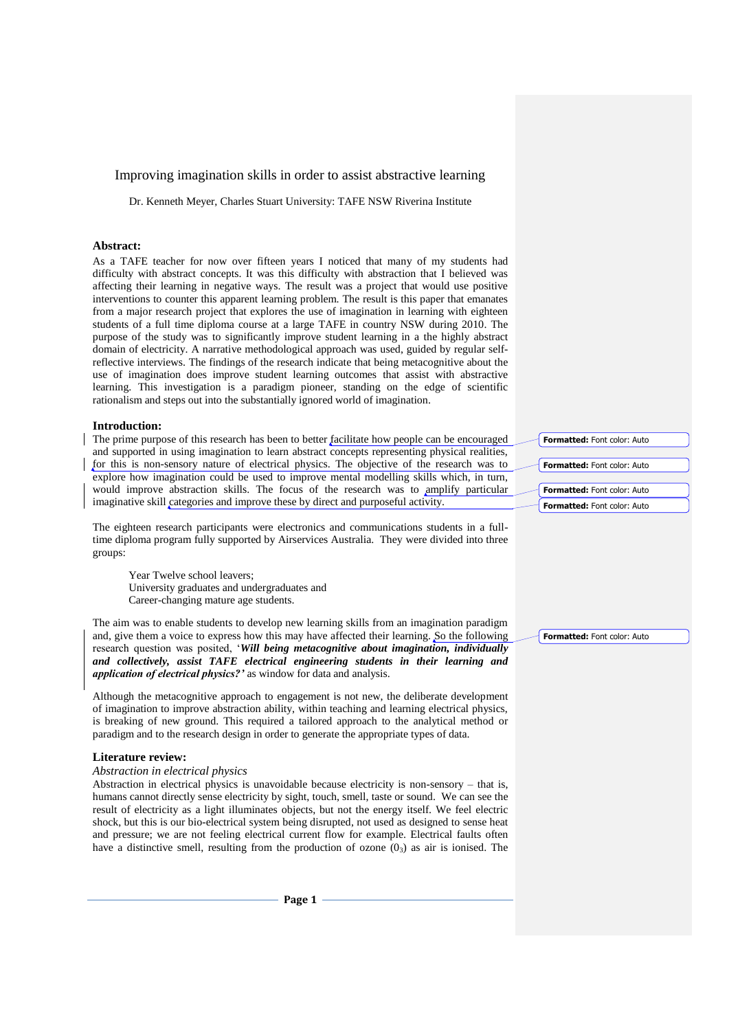# Improving imagination skills in order to assist abstractive learning

Dr. Kenneth Meyer, Charles Stuart University: TAFE NSW Riverina Institute

## **Abstract:**

As a TAFE teacher for now over fifteen years I noticed that many of my students had difficulty with abstract concepts. It was this difficulty with abstraction that I believed was affecting their learning in negative ways. The result was a project that would use positive interventions to counter this apparent learning problem. The result is this paper that emanates from a major research project that explores the use of imagination in learning with eighteen students of a full time diploma course at a large TAFE in country NSW during 2010. The purpose of the study was to significantly improve student learning in a the highly abstract domain of electricity. A narrative methodological approach was used, guided by regular selfreflective interviews. The findings of the research indicate that being metacognitive about the use of imagination does improve student learning outcomes that assist with abstractive learning. This investigation is a paradigm pioneer, standing on the edge of scientific rationalism and steps out into the substantially ignored world of imagination.

## **Introduction:**

The prime purpose of this research has been to better facilitate how people can be encouraged and supported in using imagination to learn abstract concepts representing physical realities, for this is non-sensory nature of electrical physics. The objective of the research was to explore how imagination could be used to improve mental modelling skills which, in turn, would improve abstraction skills. The focus of the research was to amplify particular imaginative skill categories and improve these by direct and purposeful activity.

The eighteen research participants were electronics and communications students in a fulltime diploma program fully supported by Airservices Australia. They were divided into three groups:

Year Twelve school leavers; University graduates and undergraduates and Career-changing mature age students.

The aim was to enable students to develop new learning skills from an imagination paradigm and, give them a voice to express how this may have affected their learning. So the following research question was posited, '*Will being metacognitive about imagination, individually and collectively, assist TAFE electrical engineering students in their learning and application of electrical physics?'* as window for data and analysis.

Although the metacognitive approach to engagement is not new, the deliberate development of imagination to improve abstraction ability, within teaching and learning electrical physics, is breaking of new ground. This required a tailored approach to the analytical method or paradigm and to the research design in order to generate the appropriate types of data.

#### **Literature review:**

# *Abstraction in electrical physics*

Abstraction in electrical physics is unavoidable because electricity is non-sensory – that is, humans cannot directly sense electricity by sight, touch, smell, taste or sound. We can see the result of electricity as a light illuminates objects, but not the energy itself. We feel electric shock, but this is our bio-electrical system being disrupted, not used as designed to sense heat and pressure; we are not feeling electrical current flow for example. Electrical faults often have a distinctive smell, resulting from the production of ozone  $(0<sub>3</sub>)$  as air is ionised. The

**Formatted:** Font color: Auto **Formatted:** Font color: Auto

**Formatted:** Font color: Auto **Formatted:** Font color: Auto

**Formatted:** Font color: Auto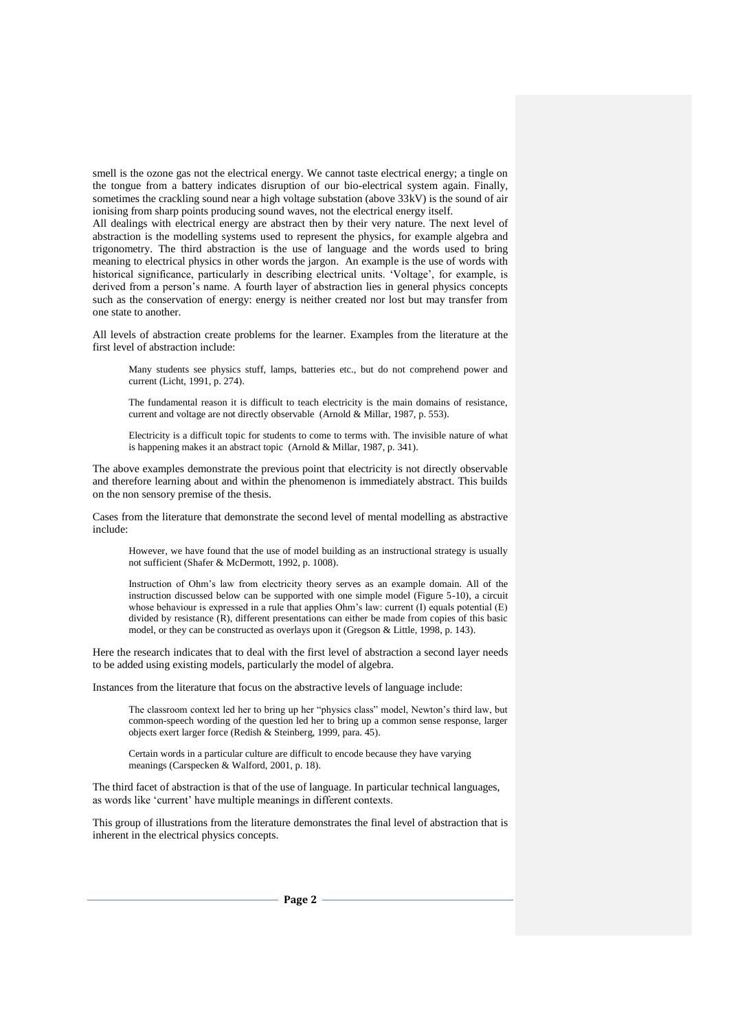smell is the ozone gas not the electrical energy. We cannot taste electrical energy; a tingle on the tongue from a battery indicates disruption of our bio-electrical system again. Finally, sometimes the crackling sound near a high voltage substation (above 33kV) is the sound of air ionising from sharp points producing sound waves, not the electrical energy itself.

All dealings with electrical energy are abstract then by their very nature. The next level of abstraction is the modelling systems used to represent the physics, for example algebra and trigonometry. The third abstraction is the use of language and the words used to bring meaning to electrical physics in other words the jargon. An example is the use of words with historical significance, particularly in describing electrical units. 'Voltage', for example, is derived from a person's name. A fourth layer of abstraction lies in general physics concepts such as the conservation of energy: energy is neither created nor lost but may transfer from one state to another.

All levels of abstraction create problems for the learner. Examples from the literature at the first level of abstraction include:

Many students see physics stuff, lamps, batteries etc., but do not comprehend power and current (Licht, 1991, p. 274).

The fundamental reason it is difficult to teach electricity is the main domains of resistance, current and voltage are not directly observable (Arnold & Millar, 1987, p. 553).

Electricity is a difficult topic for students to come to terms with. The invisible nature of what is happening makes it an abstract topic (Arnold & Millar, 1987, p. 341).

The above examples demonstrate the previous point that electricity is not directly observable and therefore learning about and within the phenomenon is immediately abstract. This builds on the non sensory premise of the thesis.

Cases from the literature that demonstrate the second level of mental modelling as abstractive include:

However, we have found that the use of model building as an instructional strategy is usually not sufficient (Shafer & McDermott, 1992, p. 1008).

Instruction of Ohm's law from electricity theory serves as an example domain. All of the instruction discussed below can be supported with one simple model (Figure 5-10), a circuit whose behaviour is expressed in a rule that applies Ohm's law: current (I) equals potential (E) divided by resistance (R), different presentations can either be made from copies of this basic model, or they can be constructed as overlays upon it (Gregson & Little, 1998, p. 143).

Here the research indicates that to deal with the first level of abstraction a second layer needs to be added using existing models, particularly the model of algebra.

Instances from the literature that focus on the abstractive levels of language include:

The classroom context led her to bring up her "physics class" model, Newton's third law, but common-speech wording of the question led her to bring up a common sense response, larger objects exert larger force (Redish & Steinberg, 1999, para. 45).

Certain words in a particular culture are difficult to encode because they have varying meanings (Carspecken & Walford, 2001, p. 18).

The third facet of abstraction is that of the use of language. In particular technical languages, as words like 'current' have multiple meanings in different contexts.

This group of illustrations from the literature demonstrates the final level of abstraction that is inherent in the electrical physics concepts.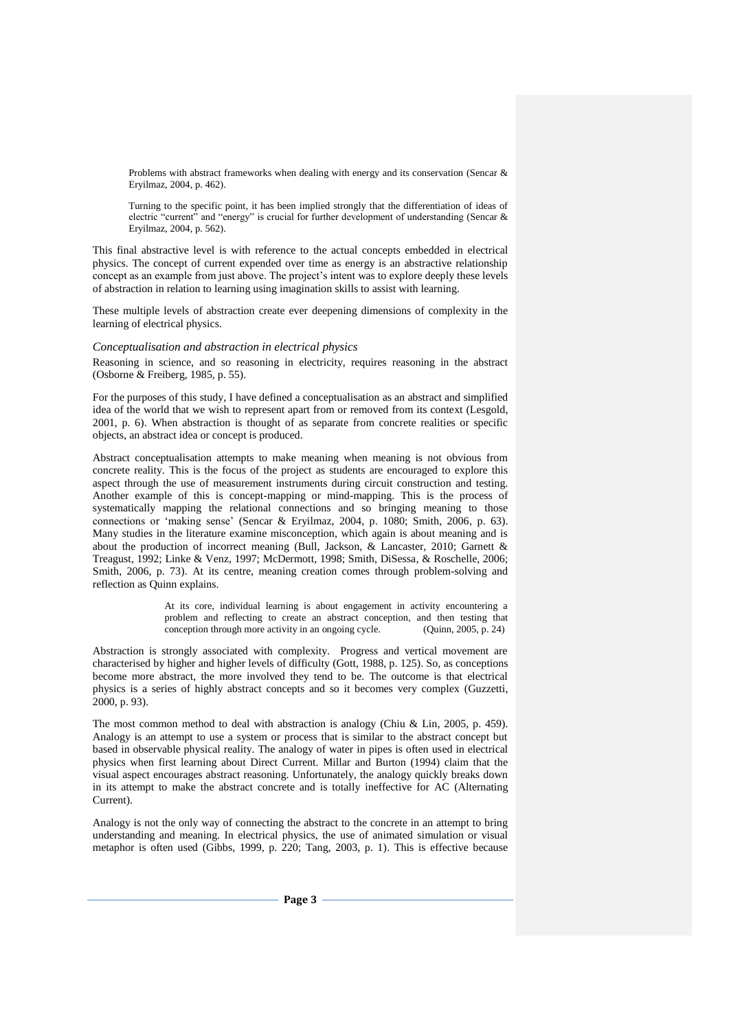Problems with abstract frameworks when dealing with energy and its conservation (Sencar & Eryilmaz, 2004, p. 462).

Turning to the specific point, it has been implied strongly that the differentiation of ideas of electric "current" and "energy" is crucial for further development of understanding (Sencar & Eryilmaz, 2004, p. 562).

This final abstractive level is with reference to the actual concepts embedded in electrical physics. The concept of current expended over time as energy is an abstractive relationship concept as an example from just above. The project's intent was to explore deeply these levels of abstraction in relation to learning using imagination skills to assist with learning.

These multiple levels of abstraction create ever deepening dimensions of complexity in the learning of electrical physics.

## *Conceptualisation and abstraction in electrical physics*

Reasoning in science, and so reasoning in electricity, requires reasoning in the abstract (Osborne & Freiberg, 1985, p. 55).

For the purposes of this study, I have defined a conceptualisation as an abstract and simplified idea of the world that we wish to represent apart from or removed from its context (Lesgold, 2001, p. 6). When abstraction is thought of as separate from concrete realities or specific objects, an abstract idea or concept is produced.

Abstract conceptualisation attempts to make meaning when meaning is not obvious from concrete reality. This is the focus of the project as students are encouraged to explore this aspect through the use of measurement instruments during circuit construction and testing. Another example of this is concept-mapping or mind-mapping. This is the process of systematically mapping the relational connections and so bringing meaning to those connections or 'making sense' (Sencar & Eryilmaz, 2004, p. 1080; Smith, 2006, p. 63). Many studies in the literature examine misconception, which again is about meaning and is about the production of incorrect meaning (Bull, Jackson, & Lancaster, 2010; Garnett & Treagust, 1992; Linke & Venz, 1997; McDermott, 1998; Smith, DiSessa, & Roschelle, 2006; Smith, 2006, p. 73). At its centre, meaning creation comes through problem-solving and reflection as Quinn explains.

> At its core, individual learning is about engagement in activity encountering a problem and reflecting to create an abstract conception, and then testing that conception through more activity in an ongoing cycle. (Quinn, 2005, p. 24)

Abstraction is strongly associated with complexity. Progress and vertical movement are characterised by higher and higher levels of difficulty (Gott, 1988, p. 125). So, as conceptions become more abstract, the more involved they tend to be. The outcome is that electrical physics is a series of highly abstract concepts and so it becomes very complex (Guzzetti, 2000, p. 93).

The most common method to deal with abstraction is analogy (Chiu & Lin, 2005, p. 459). Analogy is an attempt to use a system or process that is similar to the abstract concept but based in observable physical reality. The analogy of water in pipes is often used in electrical physics when first learning about Direct Current. Millar and Burton (1994) claim that the visual aspect encourages abstract reasoning. Unfortunately, the analogy quickly breaks down in its attempt to make the abstract concrete and is totally ineffective for AC (Alternating Current).

Analogy is not the only way of connecting the abstract to the concrete in an attempt to bring understanding and meaning. In electrical physics, the use of animated simulation or visual metaphor is often used (Gibbs, 1999, p. 220; Tang, 2003, p. 1). This is effective because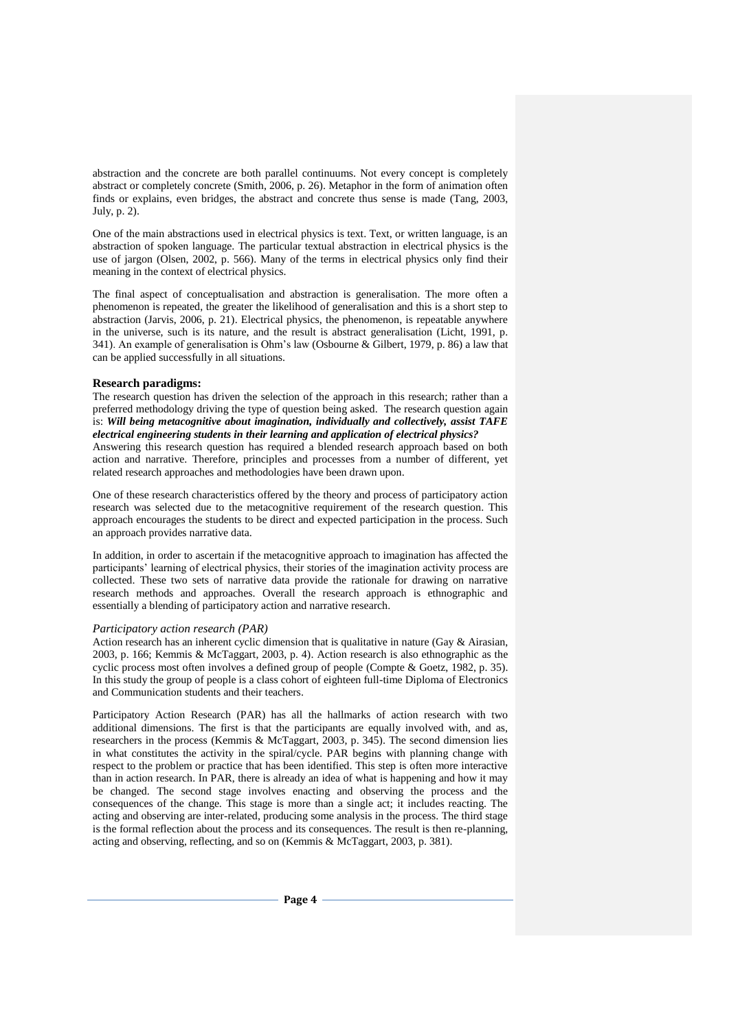abstraction and the concrete are both parallel continuums. Not every concept is completely abstract or completely concrete (Smith, 2006, p. 26). Metaphor in the form of animation often finds or explains, even bridges, the abstract and concrete thus sense is made (Tang, 2003, July, p. 2).

One of the main abstractions used in electrical physics is text. Text, or written language, is an abstraction of spoken language. The particular textual abstraction in electrical physics is the use of jargon (Olsen, 2002, p. 566). Many of the terms in electrical physics only find their meaning in the context of electrical physics.

The final aspect of conceptualisation and abstraction is generalisation. The more often a phenomenon is repeated, the greater the likelihood of generalisation and this is a short step to abstraction (Jarvis, 2006, p. 21). Electrical physics, the phenomenon, is repeatable anywhere in the universe, such is its nature, and the result is abstract generalisation (Licht, 1991, p. 341). An example of generalisation is Ohm's law (Osbourne & Gilbert, 1979, p. 86) a law that can be applied successfully in all situations.

## **Research paradigms:**

The research question has driven the selection of the approach in this research; rather than a preferred methodology driving the type of question being asked. The research question again is: *Will being metacognitive about imagination, individually and collectively, assist TAFE electrical engineering students in their learning and application of electrical physics?* 

Answering this research question has required a blended research approach based on both action and narrative. Therefore, principles and processes from a number of different, yet related research approaches and methodologies have been drawn upon.

One of these research characteristics offered by the theory and process of participatory action research was selected due to the metacognitive requirement of the research question. This approach encourages the students to be direct and expected participation in the process. Such an approach provides narrative data.

In addition, in order to ascertain if the metacognitive approach to imagination has affected the participants' learning of electrical physics, their stories of the imagination activity process are collected. These two sets of narrative data provide the rationale for drawing on narrative research methods and approaches. Overall the research approach is ethnographic and essentially a blending of participatory action and narrative research.

### *Participatory action research (PAR)*

Action research has an inherent cyclic dimension that is qualitative in nature (Gay & Airasian, 2003, p. 166; Kemmis & McTaggart, 2003, p. 4). Action research is also ethnographic as the cyclic process most often involves a defined group of people (Compte & Goetz, 1982, p. 35). In this study the group of people is a class cohort of eighteen full-time Diploma of Electronics and Communication students and their teachers.

Participatory Action Research (PAR) has all the hallmarks of action research with two additional dimensions. The first is that the participants are equally involved with, and as, researchers in the process (Kemmis & McTaggart, 2003, p. 345). The second dimension lies in what constitutes the activity in the spiral/cycle. PAR begins with planning change with respect to the problem or practice that has been identified. This step is often more interactive than in action research. In PAR, there is already an idea of what is happening and how it may be changed. The second stage involves enacting and observing the process and the consequences of the change. This stage is more than a single act; it includes reacting. The acting and observing are inter-related, producing some analysis in the process. The third stage is the formal reflection about the process and its consequences. The result is then re-planning, acting and observing, reflecting, and so on (Kemmis & McTaggart, 2003, p. 381).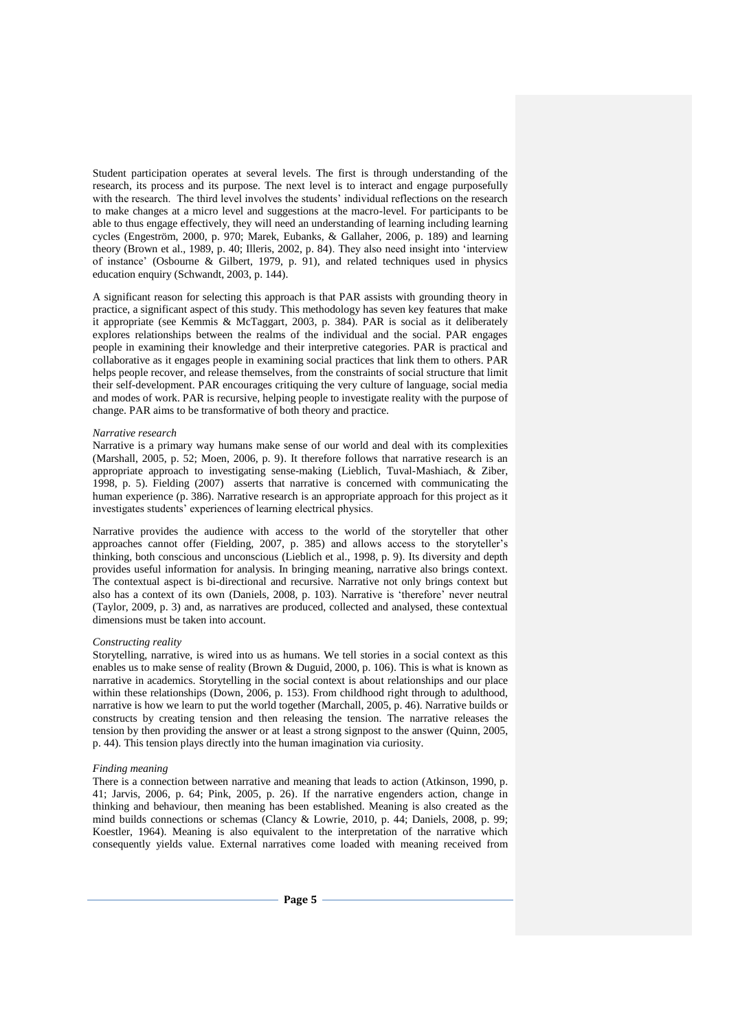Student participation operates at several levels. The first is through understanding of the research, its process and its purpose. The next level is to interact and engage purposefully with the research. The third level involves the students' individual reflections on the research to make changes at a micro level and suggestions at the macro-level. For participants to be able to thus engage effectively, they will need an understanding of learning including learning cycles (Engeström, 2000, p. 970; Marek, Eubanks, & Gallaher, 2006, p. 189) and learning theory (Brown et al., 1989, p. 40; Illeris, 2002, p. 84). They also need insight into 'interview of instance' (Osbourne & Gilbert, 1979, p. 91), and related techniques used in physics education enquiry (Schwandt, 2003, p. 144).

A significant reason for selecting this approach is that PAR assists with grounding theory in practice, a significant aspect of this study. This methodology has seven key features that make it appropriate (see Kemmis & McTaggart, 2003, p. 384). PAR is social as it deliberately explores relationships between the realms of the individual and the social. PAR engages people in examining their knowledge and their interpretive categories. PAR is practical and collaborative as it engages people in examining social practices that link them to others. PAR helps people recover, and release themselves, from the constraints of social structure that limit their self-development. PAR encourages critiquing the very culture of language, social media and modes of work. PAR is recursive, helping people to investigate reality with the purpose of change. PAR aims to be transformative of both theory and practice.

### *Narrative research*

Narrative is a primary way humans make sense of our world and deal with its complexities (Marshall, 2005, p. 52; Moen, 2006, p. 9). It therefore follows that narrative research is an appropriate approach to investigating sense-making (Lieblich, Tuval-Mashiach, & Ziber, 1998, p. 5). Fielding (2007) asserts that narrative is concerned with communicating the human experience (p. 386). Narrative research is an appropriate approach for this project as it investigates students' experiences of learning electrical physics.

Narrative provides the audience with access to the world of the storyteller that other approaches cannot offer (Fielding, 2007, p. 385) and allows access to the storyteller's thinking, both conscious and unconscious (Lieblich et al., 1998, p. 9). Its diversity and depth provides useful information for analysis. In bringing meaning, narrative also brings context. The contextual aspect is bi-directional and recursive. Narrative not only brings context but also has a context of its own (Daniels, 2008, p. 103). Narrative is 'therefore' never neutral (Taylor, 2009, p. 3) and, as narratives are produced, collected and analysed, these contextual dimensions must be taken into account.

### *Constructing reality*

Storytelling, narrative, is wired into us as humans. We tell stories in a social context as this enables us to make sense of reality (Brown & Duguid, 2000, p. 106). This is what is known as narrative in academics. Storytelling in the social context is about relationships and our place within these relationships (Down, 2006, p. 153). From childhood right through to adulthood, narrative is how we learn to put the world together (Marchall, 2005, p. 46). Narrative builds or constructs by creating tension and then releasing the tension. The narrative releases the tension by then providing the answer or at least a strong signpost to the answer (Quinn, 2005, p. 44). This tension plays directly into the human imagination via curiosity.

#### *Finding meaning*

There is a connection between narrative and meaning that leads to action (Atkinson, 1990, p. 41; Jarvis, 2006, p. 64; Pink, 2005, p. 26). If the narrative engenders action, change in thinking and behaviour, then meaning has been established. Meaning is also created as the mind builds connections or schemas (Clancy & Lowrie, 2010, p. 44; Daniels, 2008, p. 99; Koestler, 1964). Meaning is also equivalent to the interpretation of the narrative which consequently yields value. External narratives come loaded with meaning received from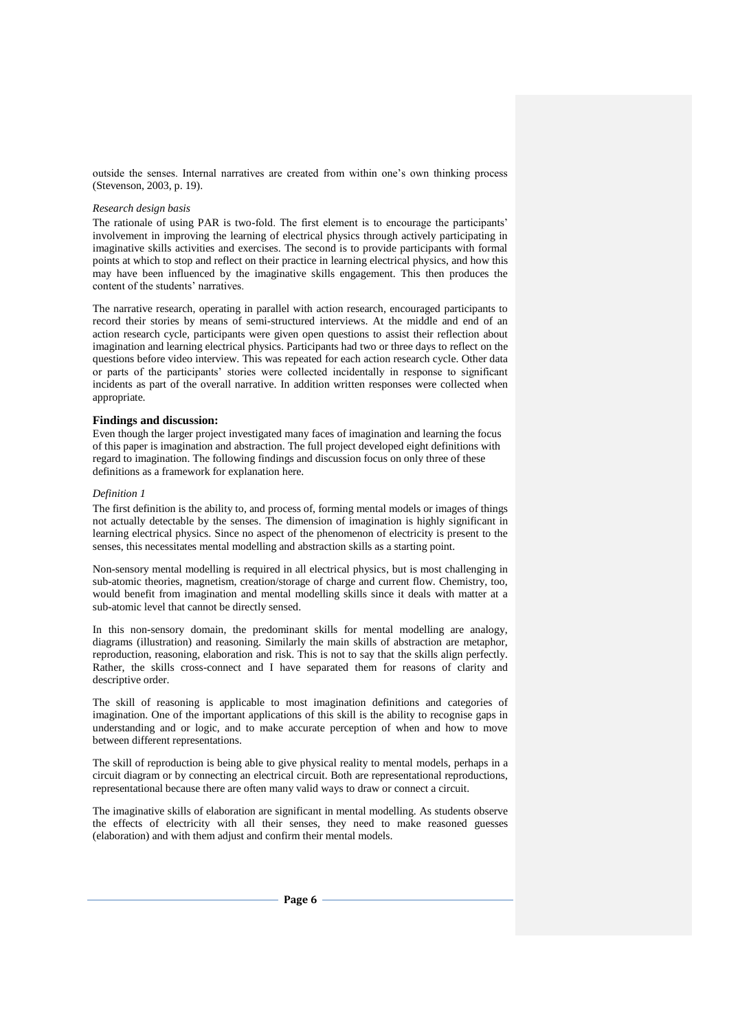outside the senses. Internal narratives are created from within one's own thinking process (Stevenson, 2003, p. 19).

### *Research design basis*

The rationale of using PAR is two-fold. The first element is to encourage the participants' involvement in improving the learning of electrical physics through actively participating in imaginative skills activities and exercises. The second is to provide participants with formal points at which to stop and reflect on their practice in learning electrical physics, and how this may have been influenced by the imaginative skills engagement. This then produces the content of the students' narratives.

The narrative research, operating in parallel with action research, encouraged participants to record their stories by means of semi-structured interviews. At the middle and end of an action research cycle, participants were given open questions to assist their reflection about imagination and learning electrical physics. Participants had two or three days to reflect on the questions before video interview. This was repeated for each action research cycle. Other data or parts of the participants' stories were collected incidentally in response to significant incidents as part of the overall narrative. In addition written responses were collected when appropriate.

## **Findings and discussion:**

Even though the larger project investigated many faces of imagination and learning the focus of this paper is imagination and abstraction. The full project developed eight definitions with regard to imagination. The following findings and discussion focus on only three of these definitions as a framework for explanation here.

### *Definition 1*

The first definition is the ability to, and process of, forming mental models or images of things not actually detectable by the senses. The dimension of imagination is highly significant in learning electrical physics. Since no aspect of the phenomenon of electricity is present to the senses, this necessitates mental modelling and abstraction skills as a starting point.

Non-sensory mental modelling is required in all electrical physics, but is most challenging in sub-atomic theories, magnetism, creation/storage of charge and current flow. Chemistry, too, would benefit from imagination and mental modelling skills since it deals with matter at a sub-atomic level that cannot be directly sensed.

In this non-sensory domain, the predominant skills for mental modelling are analogy, diagrams (illustration) and reasoning. Similarly the main skills of abstraction are metaphor, reproduction, reasoning, elaboration and risk. This is not to say that the skills align perfectly. Rather, the skills cross-connect and I have separated them for reasons of clarity and descriptive order.

The skill of reasoning is applicable to most imagination definitions and categories of imagination. One of the important applications of this skill is the ability to recognise gaps in understanding and or logic, and to make accurate perception of when and how to move between different representations.

The skill of reproduction is being able to give physical reality to mental models, perhaps in a circuit diagram or by connecting an electrical circuit. Both are representational reproductions, representational because there are often many valid ways to draw or connect a circuit.

The imaginative skills of elaboration are significant in mental modelling. As students observe the effects of electricity with all their senses, they need to make reasoned guesses (elaboration) and with them adjust and confirm their mental models.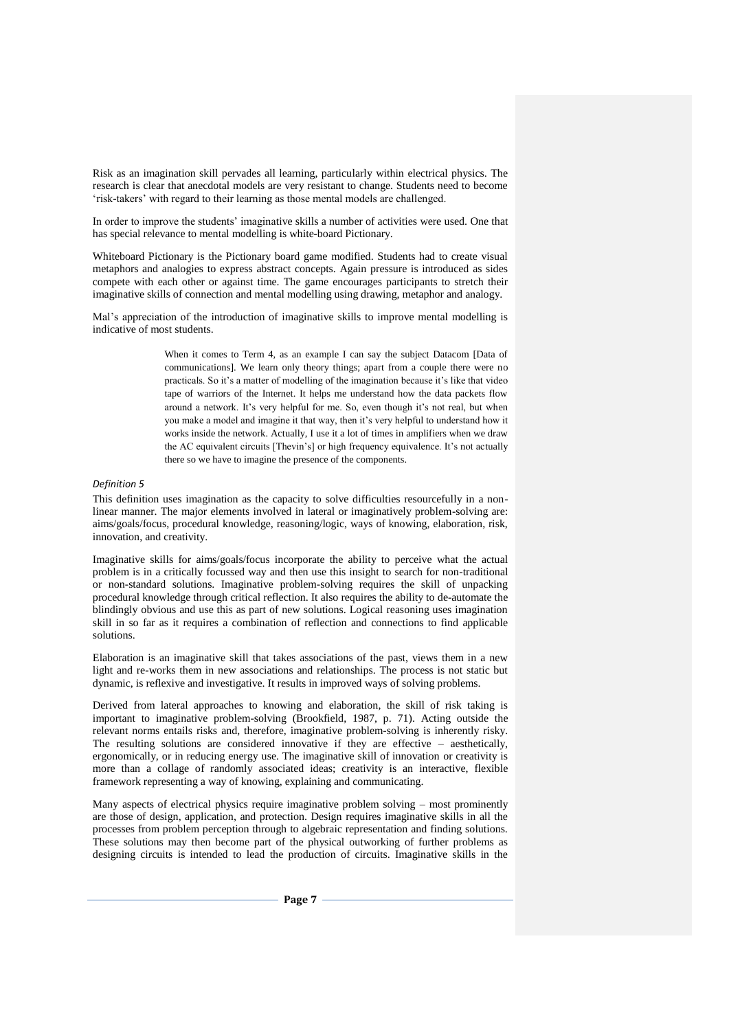Risk as an imagination skill pervades all learning, particularly within electrical physics. The research is clear that anecdotal models are very resistant to change. Students need to become 'risk-takers' with regard to their learning as those mental models are challenged.

In order to improve the students' imaginative skills a number of activities were used. One that has special relevance to mental modelling is white-board Pictionary.

Whiteboard Pictionary is the Pictionary board game modified. Students had to create visual metaphors and analogies to express abstract concepts. Again pressure is introduced as sides compete with each other or against time. The game encourages participants to stretch their imaginative skills of connection and mental modelling using drawing, metaphor and analogy.

Mal's appreciation of the introduction of imaginative skills to improve mental modelling is indicative of most students.

> When it comes to Term 4, as an example I can say the subject Datacom [Data of communications]. We learn only theory things; apart from a couple there were no practicals. So it's a matter of modelling of the imagination because it's like that video tape of warriors of the Internet. It helps me understand how the data packets flow around a network. It's very helpful for me. So, even though it's not real, but when you make a model and imagine it that way, then it's very helpful to understand how it works inside the network. Actually, I use it a lot of times in amplifiers when we draw the AC equivalent circuits [Thevin's] or high frequency equivalence. It's not actually there so we have to imagine the presence of the components.

### *Definition 5*

This definition uses imagination as the capacity to solve difficulties resourcefully in a nonlinear manner. The major elements involved in lateral or imaginatively problem-solving are: aims/goals/focus, procedural knowledge, reasoning/logic, ways of knowing, elaboration, risk, innovation, and creativity.

Imaginative skills for aims/goals/focus incorporate the ability to perceive what the actual problem is in a critically focussed way and then use this insight to search for non-traditional or non-standard solutions. Imaginative problem-solving requires the skill of unpacking procedural knowledge through critical reflection. It also requires the ability to de-automate the blindingly obvious and use this as part of new solutions. Logical reasoning uses imagination skill in so far as it requires a combination of reflection and connections to find applicable solutions.

Elaboration is an imaginative skill that takes associations of the past, views them in a new light and re-works them in new associations and relationships. The process is not static but dynamic, is reflexive and investigative. It results in improved ways of solving problems.

Derived from lateral approaches to knowing and elaboration, the skill of risk taking is important to imaginative problem-solving (Brookfield, 1987, p. 71). Acting outside the relevant norms entails risks and, therefore, imaginative problem-solving is inherently risky. The resulting solutions are considered innovative if they are effective – aesthetically, ergonomically, or in reducing energy use. The imaginative skill of innovation or creativity is more than a collage of randomly associated ideas; creativity is an interactive, flexible framework representing a way of knowing, explaining and communicating.

Many aspects of electrical physics require imaginative problem solving – most prominently are those of design, application, and protection. Design requires imaginative skills in all the processes from problem perception through to algebraic representation and finding solutions. These solutions may then become part of the physical outworking of further problems as designing circuits is intended to lead the production of circuits. Imaginative skills in the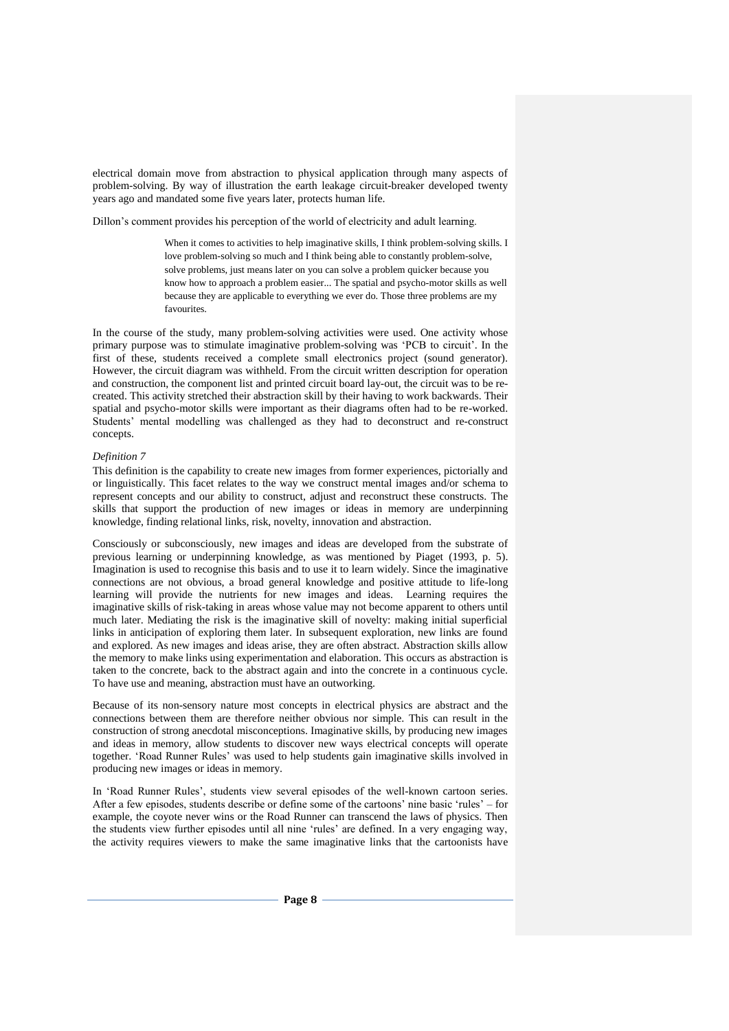electrical domain move from abstraction to physical application through many aspects of problem-solving. By way of illustration the earth leakage circuit-breaker developed twenty years ago and mandated some five years later, protects human life.

Dillon's comment provides his perception of the world of electricity and adult learning.

When it comes to activities to help imaginative skills, I think problem-solving skills. I love problem-solving so much and I think being able to constantly problem-solve, solve problems, just means later on you can solve a problem quicker because you know how to approach a problem easier... The spatial and psycho-motor skills as well because they are applicable to everything we ever do. Those three problems are my favourites.

In the course of the study, many problem-solving activities were used. One activity whose primary purpose was to stimulate imaginative problem-solving was 'PCB to circuit'. In the first of these, students received a complete small electronics project (sound generator). However, the circuit diagram was withheld. From the circuit written description for operation and construction, the component list and printed circuit board lay-out, the circuit was to be recreated. This activity stretched their abstraction skill by their having to work backwards. Their spatial and psycho-motor skills were important as their diagrams often had to be re-worked. Students' mental modelling was challenged as they had to deconstruct and re-construct concepts.

### *Definition 7*

This definition is the capability to create new images from former experiences, pictorially and or linguistically. This facet relates to the way we construct mental images and/or schema to represent concepts and our ability to construct, adjust and reconstruct these constructs. The skills that support the production of new images or ideas in memory are underpinning knowledge, finding relational links, risk, novelty, innovation and abstraction.

Consciously or subconsciously, new images and ideas are developed from the substrate of previous learning or underpinning knowledge, as was mentioned by Piaget (1993, p. 5). Imagination is used to recognise this basis and to use it to learn widely. Since the imaginative connections are not obvious, a broad general knowledge and positive attitude to life-long learning will provide the nutrients for new images and ideas. Learning requires the imaginative skills of risk-taking in areas whose value may not become apparent to others until much later. Mediating the risk is the imaginative skill of novelty: making initial superficial links in anticipation of exploring them later. In subsequent exploration, new links are found and explored. As new images and ideas arise, they are often abstract. Abstraction skills allow the memory to make links using experimentation and elaboration. This occurs as abstraction is taken to the concrete, back to the abstract again and into the concrete in a continuous cycle. To have use and meaning, abstraction must have an outworking.

Because of its non-sensory nature most concepts in electrical physics are abstract and the connections between them are therefore neither obvious nor simple. This can result in the construction of strong anecdotal misconceptions. Imaginative skills, by producing new images and ideas in memory, allow students to discover new ways electrical concepts will operate together. 'Road Runner Rules' was used to help students gain imaginative skills involved in producing new images or ideas in memory.

In 'Road Runner Rules', students view several episodes of the well-known cartoon series. After a few episodes, students describe or define some of the cartoons' nine basic 'rules' – for example, the coyote never wins or the Road Runner can transcend the laws of physics. Then the students view further episodes until all nine 'rules' are defined. In a very engaging way, the activity requires viewers to make the same imaginative links that the cartoonists have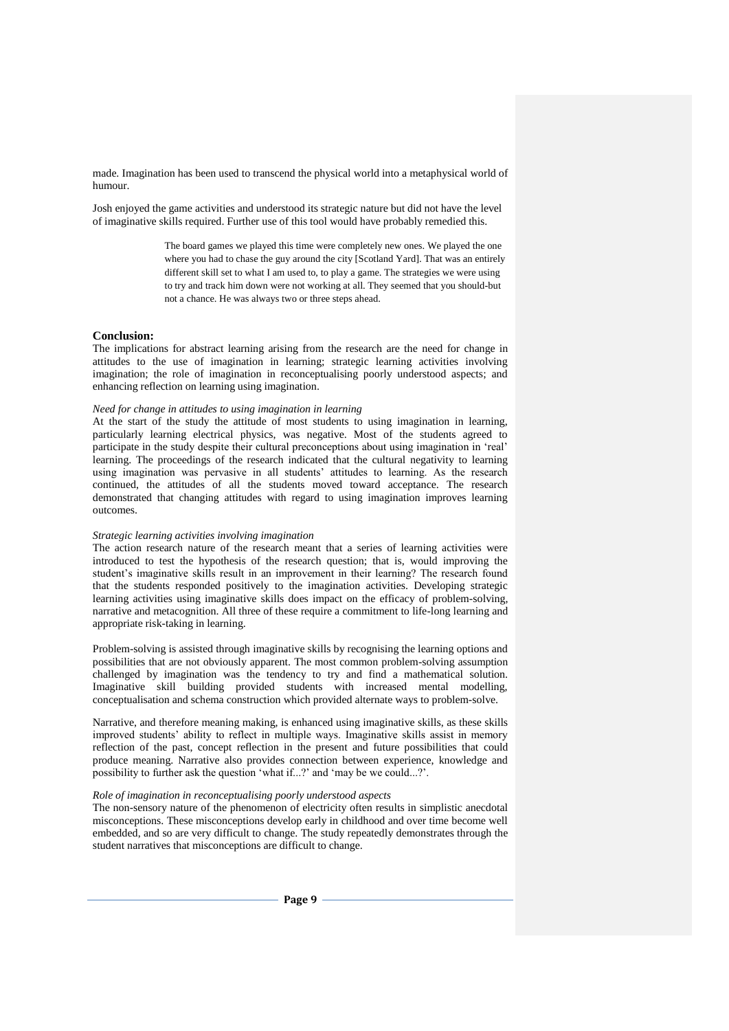made. Imagination has been used to transcend the physical world into a metaphysical world of humour.

Josh enjoyed the game activities and understood its strategic nature but did not have the level of imaginative skills required. Further use of this tool would have probably remedied this.

> The board games we played this time were completely new ones. We played the one where you had to chase the guy around the city [Scotland Yard]. That was an entirely different skill set to what I am used to, to play a game. The strategies we were using to try and track him down were not working at all. They seemed that you should-but not a chance. He was always two or three steps ahead.

## **Conclusion:**

The implications for abstract learning arising from the research are the need for change in attitudes to the use of imagination in learning; strategic learning activities involving imagination; the role of imagination in reconceptualising poorly understood aspects; and enhancing reflection on learning using imagination.

## *Need for change in attitudes to using imagination in learning*

At the start of the study the attitude of most students to using imagination in learning, particularly learning electrical physics, was negative. Most of the students agreed to participate in the study despite their cultural preconceptions about using imagination in 'real' learning. The proceedings of the research indicated that the cultural negativity to learning using imagination was pervasive in all students' attitudes to learning. As the research continued, the attitudes of all the students moved toward acceptance. The research demonstrated that changing attitudes with regard to using imagination improves learning outcomes.

#### *Strategic learning activities involving imagination*

The action research nature of the research meant that a series of learning activities were introduced to test the hypothesis of the research question; that is, would improving the student's imaginative skills result in an improvement in their learning? The research found that the students responded positively to the imagination activities. Developing strategic learning activities using imaginative skills does impact on the efficacy of problem-solving, narrative and metacognition. All three of these require a commitment to life-long learning and appropriate risk-taking in learning.

Problem-solving is assisted through imaginative skills by recognising the learning options and possibilities that are not obviously apparent. The most common problem-solving assumption challenged by imagination was the tendency to try and find a mathematical solution. Imaginative skill building provided students with increased mental modelling, conceptualisation and schema construction which provided alternate ways to problem-solve.

Narrative, and therefore meaning making, is enhanced using imaginative skills, as these skills improved students' ability to reflect in multiple ways. Imaginative skills assist in memory reflection of the past, concept reflection in the present and future possibilities that could produce meaning. Narrative also provides connection between experience, knowledge and possibility to further ask the question 'what if...?' and 'may be we could...?'.

# *Role of imagination in reconceptualising poorly understood aspects*

The non-sensory nature of the phenomenon of electricity often results in simplistic anecdotal misconceptions. These misconceptions develop early in childhood and over time become well embedded, and so are very difficult to change. The study repeatedly demonstrates through the student narratives that misconceptions are difficult to change.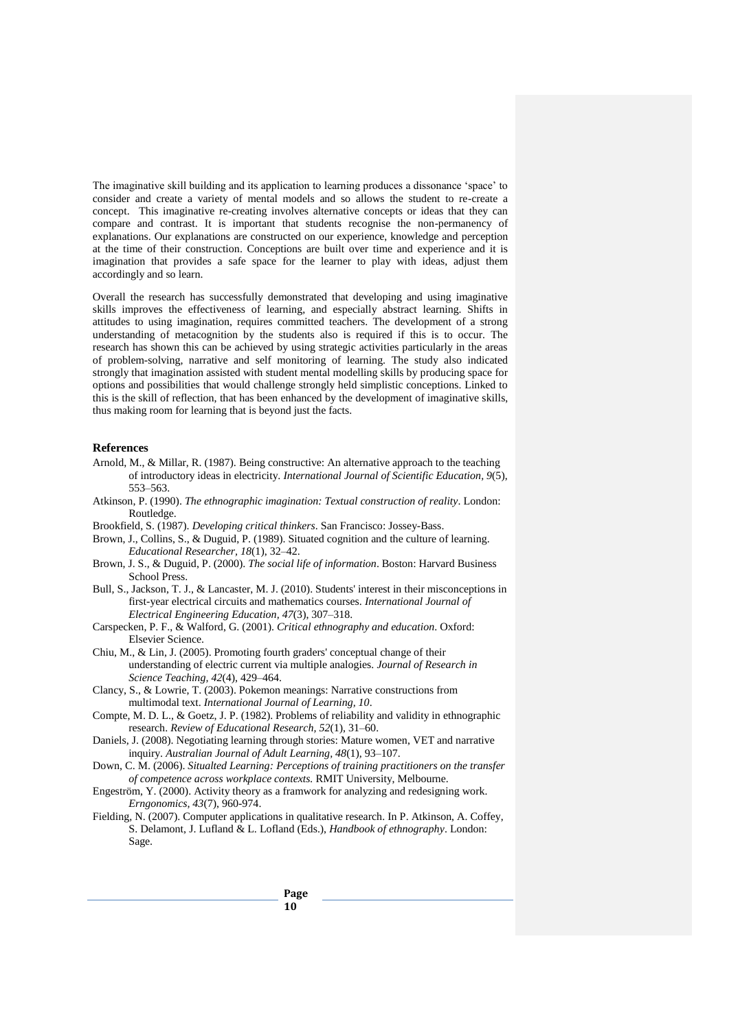The imaginative skill building and its application to learning produces a dissonance 'space' to consider and create a variety of mental models and so allows the student to re-create a concept. This imaginative re-creating involves alternative concepts or ideas that they can compare and contrast. It is important that students recognise the non-permanency of explanations. Our explanations are constructed on our experience, knowledge and perception at the time of their construction. Conceptions are built over time and experience and it is imagination that provides a safe space for the learner to play with ideas, adjust them accordingly and so learn.

Overall the research has successfully demonstrated that developing and using imaginative skills improves the effectiveness of learning, and especially abstract learning. Shifts in attitudes to using imagination, requires committed teachers. The development of a strong understanding of metacognition by the students also is required if this is to occur. The research has shown this can be achieved by using strategic activities particularly in the areas of problem-solving, narrative and self monitoring of learning. The study also indicated strongly that imagination assisted with student mental modelling skills by producing space for options and possibilities that would challenge strongly held simplistic conceptions. Linked to this is the skill of reflection, that has been enhanced by the development of imaginative skills, thus making room for learning that is beyond just the facts.

## **References**

- Arnold, M., & Millar, R. (1987). Being constructive: An alternative approach to the teaching of introductory ideas in electricity. *International Journal of Scientific Education, 9*(5), 553–563.
- Atkinson, P. (1990). *The ethnographic imagination: Textual construction of reality*. London: Routledge.
- Brookfield, S. (1987). *Developing critical thinkers*. San Francisco: Jossey-Bass.
- Brown, J., Collins, S., & Duguid, P. (1989). Situated cognition and the culture of learning. *Educational Researcher, 18*(1), 32–42.
- Brown, J. S., & Duguid, P. (2000). *The social life of information*. Boston: Harvard Business School Press.
- Bull, S., Jackson, T. J., & Lancaster, M. J. (2010). Students' interest in their misconceptions in first-year electrical circuits and mathematics courses. *International Journal of Electrical Engineering Education, 47*(3), 307–318.
- Carspecken, P. F., & Walford, G. (2001). *Critical ethnography and education*. Oxford: Elsevier Science.
- Chiu, M., & Lin, J. (2005). Promoting fourth graders' conceptual change of their understanding of electric current via multiple analogies. *Journal of Research in Science Teaching, 42*(4), 429–464.
- Clancy, S., & Lowrie, T. (2003). Pokemon meanings: Narrative constructions from multimodal text. *International Journal of Learning, 10*.
- Compte, M. D. L., & Goetz, J. P. (1982). Problems of reliability and validity in ethnographic research. *Review of Educational Research, 52*(1), 31–60.
- Daniels, J. (2008). Negotiating learning through stories: Mature women, VET and narrative inquiry. *Australian Journal of Adult Learning, 48*(1), 93–107.
- Down, C. M. (2006). *Situalted Learning: Perceptions of training practitioners on the transfer of competence across workplace contexts.* RMIT University, Melbourne.
- Engeström, Y. (2000). Activity theory as a framwork for analyzing and redesigning work. *Erngonomics, 43*(7), 960-974.
- Fielding, N. (2007). Computer applications in qualitative research. In P. Atkinson, A. Coffey, S. Delamont, J. Lufland & L. Lofland (Eds.), *Handbook of ethnography*. London: Sage.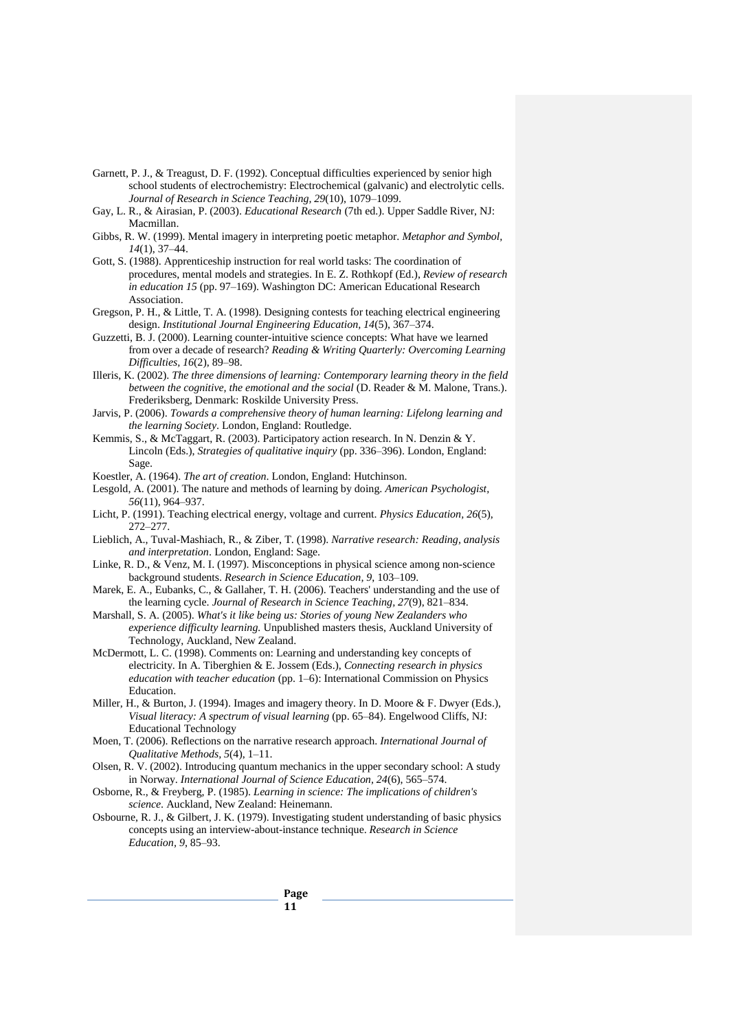- Garnett, P. J., & Treagust, D. F. (1992). Conceptual difficulties experienced by senior high school students of electrochemistry: Electrochemical (galvanic) and electrolytic cells. *Journal of Research in Science Teaching, 29*(10), 1079–1099.
- Gay, L. R., & Airasian, P. (2003). *Educational Research* (7th ed.). Upper Saddle River, NJ: Macmillan.
- Gibbs, R. W. (1999). Mental imagery in interpreting poetic metaphor. *Metaphor and Symbol, 14*(1), 37–44.
- Gott, S. (1988). Apprenticeship instruction for real world tasks: The coordination of procedures, mental models and strategies. In E. Z. Rothkopf (Ed.), *Review of research in education 15* (pp. 97–169). Washington DC: American Educational Research Association.
- Gregson, P. H., & Little, T. A. (1998). Designing contests for teaching electrical engineering design. *Institutional Journal Engineering Education, 14*(5), 367–374.
- Guzzetti, B. J. (2000). Learning counter-intuitive science concepts: What have we learned from over a decade of research? *Reading & Writing Quarterly: Overcoming Learning Difficulties, 16*(2), 89–98.
- Illeris, K. (2002). *The three dimensions of learning: Contemporary learning theory in the field between the cognitive, the emotional and the social (D. Reader & M. Malone, Trans.).* Frederiksberg, Denmark: Roskilde University Press.
- Jarvis, P. (2006). *Towards a comprehensive theory of human learning: Lifelong learning and the learning Society*. London, England: Routledge.
- Kemmis, S., & McTaggart, R. (2003). Participatory action research. In N. Denzin & Y. Lincoln (Eds.), *Strategies of qualitative inquiry* (pp. 336–396). London, England: Sage.
- Koestler, A. (1964). *The art of creation*. London, England: Hutchinson.
- Lesgold, A. (2001). The nature and methods of learning by doing. *American Psychologist, 56*(11), 964–937.
- Licht, P. (1991). Teaching electrical energy, voltage and current. *Physics Education, 26*(5), 272–277.
- Lieblich, A., Tuval-Mashiach, R., & Ziber, T. (1998). *Narrative research: Reading, analysis and interpretation*. London, England: Sage.
- Linke, R. D., & Venz, M. I. (1997). Misconceptions in physical science among non-science background students. *Research in Science Education, 9*, 103–109.
- Marek, E. A., Eubanks, C., & Gallaher, T. H. (2006). Teachers' understanding and the use of the learning cycle. *Journal of Research in Science Teaching, 27*(9), 821–834.
- Marshall, S. A. (2005). *What's it like being us: Stories of young New Zealanders who experience difficulty learning.* Unpublished masters thesis, Auckland University of Technology, Auckland, New Zealand.
- McDermott, L. C. (1998). Comments on: Learning and understanding key concepts of electricity. In A. Tiberghien & E. Jossem (Eds.), *Connecting research in physics education with teacher education* (pp. 1–6): International Commission on Physics Education.
- Miller, H., & Burton, J. (1994). Images and imagery theory. In D. Moore & F. Dwyer (Eds.), *Visual literacy: A spectrum of visual learning* (pp. 65–84). Engelwood Cliffs, NJ: Educational Technology
- Moen, T. (2006). Reflections on the narrative research approach. *International Journal of Qualitative Methods, 5*(4), 1–11.
- Olsen, R. V. (2002). Introducing quantum mechanics in the upper secondary school: A study in Norway. *International Journal of Science Education, 24*(6), 565–574.
- Osborne, R., & Freyberg, P. (1985). *Learning in science: The implications of children's science*. Auckland, New Zealand: Heinemann.
- Osbourne, R. J., & Gilbert, J. K. (1979). Investigating student understanding of basic physics concepts using an interview-about-instance technique. *Research in Science Education, 9*, 85–93.